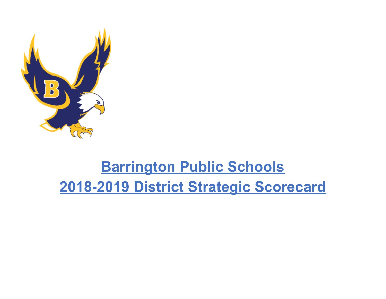

# **Barrington Public Schools 2018-2019 District Strategic Scorecard**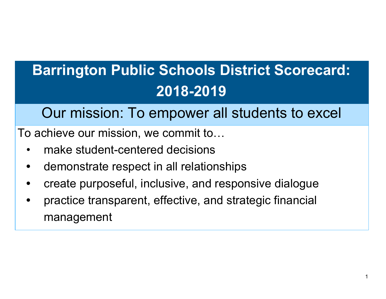# **Barrington Public Schools District Scorecard: 2018-2019**

# Our mission: To empower all students to excel

To achieve our mission, we commit to…

- make student-centered decisions
- **•** demonstrate respect in all relationships
- **•** create purposeful, inclusive, and responsive dialogue
- **•** practice transparent, effective, and strategic financial management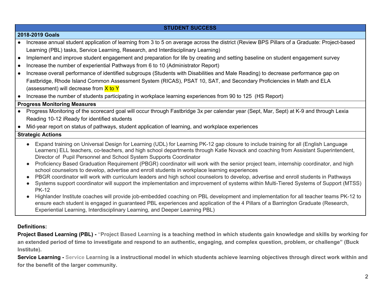|                                     | <b>STUDENT SUCCESS</b>                                                                                                                                                                                                                                                                                                                                                                                                                                                                                                                                                                                                                                                                                                                                                                                                                                                                                                        |  |
|-------------------------------------|-------------------------------------------------------------------------------------------------------------------------------------------------------------------------------------------------------------------------------------------------------------------------------------------------------------------------------------------------------------------------------------------------------------------------------------------------------------------------------------------------------------------------------------------------------------------------------------------------------------------------------------------------------------------------------------------------------------------------------------------------------------------------------------------------------------------------------------------------------------------------------------------------------------------------------|--|
| 2018-2019 Goals                     |                                                                                                                                                                                                                                                                                                                                                                                                                                                                                                                                                                                                                                                                                                                                                                                                                                                                                                                               |  |
|                                     | Increase annual student application of learning from 3 to 5 on average across the district (Review BPS Pillars of a Graduate: Project-based<br>Learning (PBL) tasks, Service Learning, Research, and Interdisciplinary Learning)                                                                                                                                                                                                                                                                                                                                                                                                                                                                                                                                                                                                                                                                                              |  |
|                                     | Implement and improve student engagement and preparation for life by creating and setting baseline on student engagement survey<br>Increase the number of experiential Pathways from 6 to 10 (Administrator Report)                                                                                                                                                                                                                                                                                                                                                                                                                                                                                                                                                                                                                                                                                                           |  |
|                                     | Increase overall performance of identified subgroups (Students with Disabilities and Male Reading) to decrease performance gap on<br>Fastbridge, Rhode Island Common Assessment System (RICAS), PSAT 10, SAT, and Secondary Proficiencies in Math and ELA<br>(assessment) will decrease from X to Y                                                                                                                                                                                                                                                                                                                                                                                                                                                                                                                                                                                                                           |  |
|                                     | Increase the number of students participating in workplace learning experiences from 90 to 125 (HS Report)                                                                                                                                                                                                                                                                                                                                                                                                                                                                                                                                                                                                                                                                                                                                                                                                                    |  |
| <b>Progress Monitoring Measures</b> |                                                                                                                                                                                                                                                                                                                                                                                                                                                                                                                                                                                                                                                                                                                                                                                                                                                                                                                               |  |
| $\bullet$                           | Progress Monitoring of the scorecard goal will occur through Fastbridge 3x per calendar year (Sept, Mar, Sept) at K-9 and through Lexia<br>Reading 10-12 iReady for identified students                                                                                                                                                                                                                                                                                                                                                                                                                                                                                                                                                                                                                                                                                                                                       |  |
|                                     | Mid-year report on status of pathways, student application of learning, and workplace experiences<br><b>Strategic Actions</b>                                                                                                                                                                                                                                                                                                                                                                                                                                                                                                                                                                                                                                                                                                                                                                                                 |  |
|                                     | Expand training on Universal Design for Learning (UDL) for Learning PK-12 gap closure to include training for all (English Language<br>Learners) ELL teachers, co-teachers, and high school departments through Katie Novack and coaching from Assistant Superintendent,<br>Director of Pupil Personnel and School System Supports Coordinator<br>Proficiency Based Graduation Requirement (PBGR) coordinator will work with the senior project team, internship coordinator, and high<br>$\bullet$<br>school counselors to develop, advertise and enroll students in workplace learning experiences<br>PBGR coordinator will work with curriculum leaders and high school counselors to develop, advertise and enroll students in Pathways<br>$\bullet$<br>Systems support coordinator will support the implementation and improvement of systems within Multi-Tiered Systems of Support (MTSS)<br>$\bullet$<br><b>PK-12</b> |  |
|                                     | Highlander Institute coaches will provide job-embedded coaching on PBL development and implementation for all teacher teams PK-12 to<br>$\bullet$<br>ensure each student is engaged in guaranteed PBL experiences and application of the 4 Pillars of a Barrington Graduate (Research,                                                                                                                                                                                                                                                                                                                                                                                                                                                                                                                                                                                                                                        |  |

Experiential Learning, Interdisciplinary Learning, and Deeper Learning PBL)

## **Definitions:**

Project Based Learning (PBL) - "Project Based Learning is a teaching method in which students gain knowledge and skills by working for an extended period of time to investigate and respond to an authentic, engaging, and complex question, problem, or challenge" (Buck **Institute).**

Service Learning - Service Learning is a instructional model in which students achieve learning objectives through direct work within and **for the benefit of the larger community.**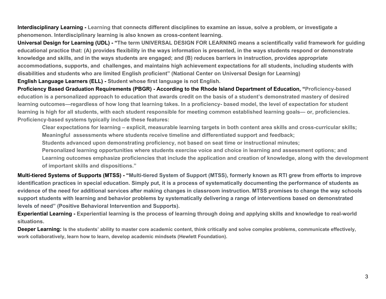Interdisciplinary Learning - Learning that connects different disciplines to examine an issue, solve a problem, or investigate a **phenomenon. Interdisciplinary learning is also known as cross-content learning.**

Universal Design for Learning (UDL) - "The term UNIVERSAL DESIGN FOR LEARNING means a scientifically valid framework for guiding educational practice that: (A) provides flexibility in the ways information is presented, in the ways students respond or demonstrate knowledge and skills, and in the ways students are engaged; and (B) reduces barriers in instruction, provides appropriate accommodations, supports, and challenges, and maintains high achievement expectations for all students, including students with **disabilities and students who are limited English proficient" (National Center on Universal Design for Learning)**

**English Language Learners (ELL) - Student whose first language is not English.**

Proficiency Based Graduation Requirements (PBGR) - According to the Rhode Island Department of Education, "Proficiency-based education is a personalized approach to education that awards credit on the basis of a student's demonstrated mastery of desired learning outcomes—regardless of how long that learning takes. In a proficiency- based model, the level of expectation for student learning is high for all students, with each student responsible for meeting common established learning goals- or. proficiencies. **Proficiency-based systems typically include these features:**

Clear expectations for learning – explicit, measurable learning targets in both content area skills and cross-curricular skills; **Meaningful assessments where students receive timeline and differentiated support and feedback;**

**Students advanced upon demonstrating proficiency, not based on seat time or instructional minutes;**

**Personalized learning opportunities where students exercise voice and choice in learning and assessment options; and** Learning outcomes emphasize proficiencies that include the application and creation of knowledge, along with the development **of important skills and dispositions."**

Multi-tiered Systems of Supports (MTSS) - "Multi-tiered System of Support (MTSS), formerly known as RTI grew from efforts to improve identification practices in special education. Simply put, it is a process of systematically documenting the performance of students as evidence of the need for additional services after making changes in classroom instruction. MTSS promises to change the way schools support students with learning and behavior problems by systematically delivering a range of interventions based on demonstrated **levels of need" (Positive Behavioral Intervention and Supports).**

Experiential Learning - Experiential learning is the process of learning through doing and applying skills and knowledge to real-world **situations.**

Deeper Learning: Is the students' ability to master core academic content, think critically and solve complex problems, communicate effectively, **work collaboratively, learn how to learn, develop academic mindsets (Hewlett Foundation).**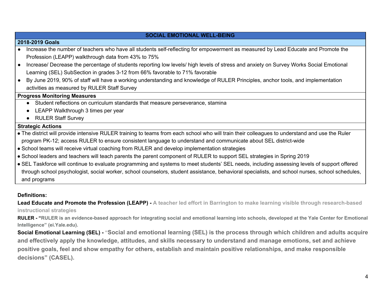## **SOCIAL EMOTIONAL WELL-BEING**

#### **2018-2019 Goals**

- Increase the number of teachers who have all students self-reflecting for empowerment as measured by Lead Educate and Promote the Profession (LEAPP) walkthrough data from 43% to 75%
- Increase/ Decrease the percentage of students reporting low levels/ high levels of stress and anxiety on Survey Works Social Emotional Learning (SEL) SubSection in grades 3-12 from 66% favorable to 71% favorable
- By June 2019, 90% of staff will have a working understanding and knowledge of RULER Principles, anchor tools, and implementation activities as measured by RULER Staff Survey

#### **Progress Monitoring Measures**

- Student reflections on curriculum standards that measure perseverance, stamina
- LEAPP Walkthrough 3 times per year
- RULER Staff Survey

#### **Strategic Actions**

- The district will provide intensive RULER training to teams from each school who will train their colleagues to understand and use the Ruler program PK-12; access RULER to ensure consistent language to understand and communicate about SEL district-wide
- School teams will receive virtual coaching from RULER and develop implementation strategies
- School leaders and teachers will teach parents the parent component of RULER to support SEL strategies in Spring 2019
- SEL Taskforce will continue to evaluate programming and systems to meet students' SEL needs, including assessing levels of support offered through school psychologist, social worker, school counselors, student assistance, behavioral specialists, and school nurses, school schedules, and programs

### **Definitions:**

Lead Educate and Promote the Profession (LEAPP) - A teacher led effort in Barrington to make learning visible through research-based **instructional strategies**

RULER - "RULER is an evidence-based approach for integrating social and emotional learning into schools, developed at the Yale Center for Emotional **Intelligence" (ei.Yale.edu).**

**Social Emotional Learning (SEL) - "Social and emotional learning (SEL) is the process through which children and adults acquire and effectively apply the knowledge, attitudes, and skills necessary to understand and manage emotions, set and achieve positive goals, feel and show empathy for others, establish and maintain positive relationships, and make responsible decisions" (CASEL).**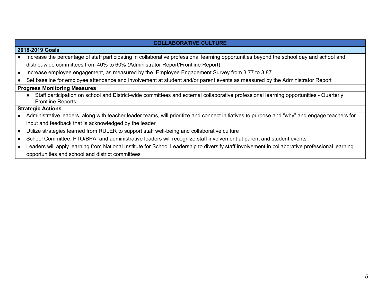| <b>COLLABORATIVE CULTURE</b>        |                                                                                                                                                 |  |
|-------------------------------------|-------------------------------------------------------------------------------------------------------------------------------------------------|--|
| 2018-2019 Goals                     |                                                                                                                                                 |  |
|                                     | Increase the percentage of staff participating in collaborative professional learning opportunities beyond the school day and school and        |  |
|                                     | district-wide committees from 40% to 60% (Administrator Report/Frontline Report)                                                                |  |
|                                     | Increase employee engagement, as measured by the Employee Engagement Survey from 3.77 to 3.87                                                   |  |
|                                     | Set baseline for employee attendance and involvement at student and/or parent events as measured by the Administrator Report                    |  |
| <b>Progress Monitoring Measures</b> |                                                                                                                                                 |  |
|                                     | Staff participation on school and District-wide committees and external collaborative professional learning opportunities - Quarterly           |  |
|                                     | <b>Frontline Reports</b>                                                                                                                        |  |
| <b>Strategic Actions</b>            |                                                                                                                                                 |  |
|                                     | Administrative leaders, along with teacher leader teams, will prioritize and connect initiatives to purpose and "why" and engage teachers for   |  |
|                                     | input and feedback that is acknowledged by the leader                                                                                           |  |
|                                     | Utilize strategies learned from RULER to support staff well-being and collaborative culture                                                     |  |
|                                     | School Committee, PTO/BPA, and administrative leaders will recognize staff involvement at parent and student events                             |  |
|                                     | Leaders will apply learning from National Institute for School Leadership to diversify staff involvement in collaborative professional learning |  |

opportunities and school and district committees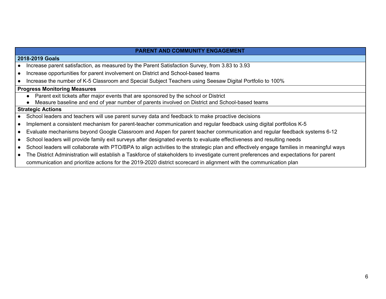### **PARENT AND COMMUNITY ENGAGEMENT**

#### **2018-2019 Goals**

- Increase parent satisfaction, as measured by the Parent Satisfaction Survey, from 3.83 to 3.93
- Increase opportunities for parent involvement on District and School-based teams
- Increase the number of K-5 Classroom and Special Subject Teachers using Seesaw Digital Portfolio to 100%

#### **Progress Monitoring Measures**

- Parent exit tickets after major events that are sponsored by the school or District
- Measure baseline and end of year number of parents involved on District and School-based teams

#### **Strategic Actions**

- School leaders and teachers will use parent survey data and feedback to make proactive decisions
- Implement a consistent mechanism for parent-teacher communication and regular feedback using digital portfolios K-5
- Evaluate mechanisms beyond Google Classroom and Aspen for parent teacher communication and regular feedback systems 6-12
- School leaders will provide family exit surveys after designated events to evaluate effectiveness and resulting needs
- School leaders will collaborate with PTO/BPA to align activities to the strategic plan and effectively engage families in meaningful ways
- The District Administration will establish a Taskforce of stakeholders to investigate current preferences and expectations for parent communication and prioritize actions for the 2019-2020 district scorecard in alignment with the communication plan